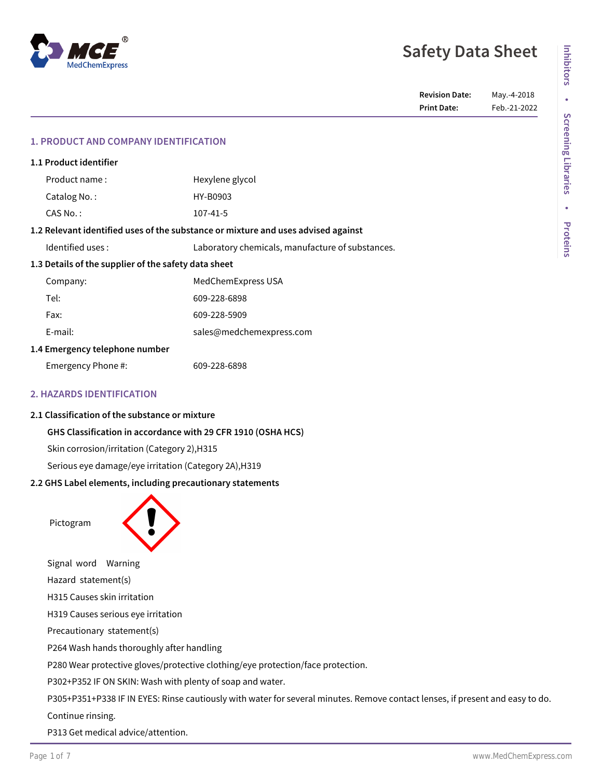# **Safety Data Sheet**

**Revision Date:** May.-4-2018 **Print Date:** Feb.-21-2022

## **1. PRODUCT AND COMPANY IDENTIFICATION**

| 1.1 Product identifier                                                            |                                                  |  |
|-----------------------------------------------------------------------------------|--------------------------------------------------|--|
| Product name:                                                                     | Hexylene glycol                                  |  |
| Catalog No.:                                                                      | HY-B0903                                         |  |
| CAS No.:                                                                          | 107-41-5                                         |  |
| 1.2 Relevant identified uses of the substance or mixture and uses advised against |                                                  |  |
| Identified uses:                                                                  | Laboratory chemicals, manufacture of substances. |  |
| 1.3 Details of the supplier of the safety data sheet                              |                                                  |  |
| Company:                                                                          | MedChemExpress USA                               |  |
| Tel:                                                                              | 609-228-6898                                     |  |
| Fax:                                                                              | 609-228-5909                                     |  |
| E-mail:                                                                           | sales@medchemexpress.com                         |  |
| 1.4 Emergency telephone number                                                    |                                                  |  |
| Emergency Phone #:                                                                | 609-228-6898                                     |  |
|                                                                                   |                                                  |  |

# **2. HAZARDS IDENTIFICATION**

#### **2.1 Classification of the substance or mixture**

**GHS Classification in accordance with 29 CFR 1910 (OSHA HCS)**

Skin corrosion/irritation (Category 2),H315

Serious eye damage/eye irritation (Category 2A),H319

# **2.2 GHS Label elements, including precautionary statements**

Pictogram



Signal word Warning

Hazard statement(s)

H315 Causes skin irritation

H319 Causes serious eye irritation

Precautionary statement(s)

P264 Wash hands thoroughly after handling

P280 Wear protective gloves/protective clothing/eye protection/face protection.

P302+P352 IF ON SKIN: Wash with plenty of soap and water.

P305+P351+P338 IF IN EYES: Rinse cautiously with water for several minutes. Remove contact lenses, if present and easy to do.

Continue rinsing.

P313 Get medical advice/attention.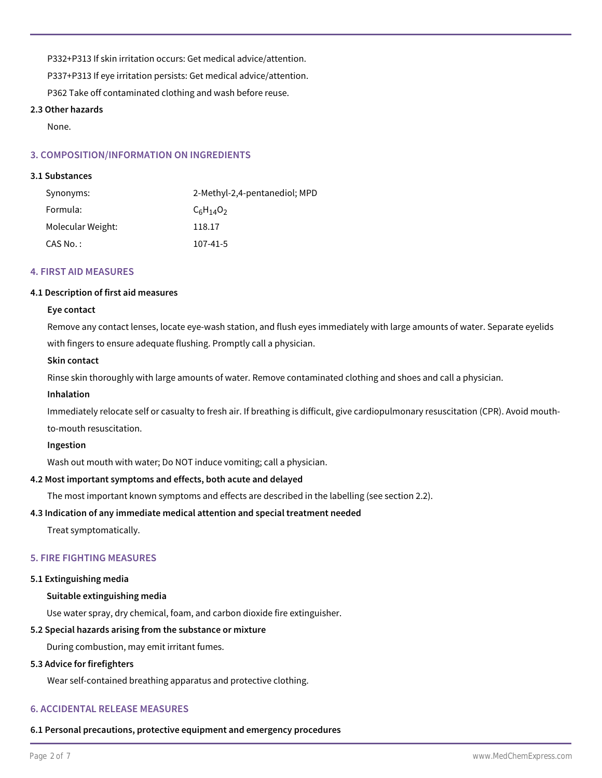P332+P313 If skin irritation occurs: Get medical advice/attention. P337+P313 If eye irritation persists: Get medical advice/attention. P362 Take off contaminated clothing and wash before reuse.

#### **2.3 Other hazards**

None.

#### **3. COMPOSITION/INFORMATION ON INGREDIENTS**

#### **3.1 Substances**

| Synonyms:         | 2-Methyl-2,4-pentanediol; MPD |
|-------------------|-------------------------------|
| Formula:          | $C_6H_{14}O_2$                |
| Molecular Weight: | 118.17                        |
| CAS No. :         | 107-41-5                      |

#### **4. FIRST AID MEASURES**

#### **4.1 Description of first aid measures**

#### **Eye contact**

Remove any contact lenses, locate eye-wash station, and flush eyes immediately with large amounts of water. Separate eyelids with fingers to ensure adequate flushing. Promptly call a physician.

#### **Skin contact**

Rinse skin thoroughly with large amounts of water. Remove contaminated clothing and shoes and call a physician.

#### **Inhalation**

Immediately relocate self or casualty to fresh air. If breathing is difficult, give cardiopulmonary resuscitation (CPR). Avoid mouthto-mouth resuscitation.

#### **Ingestion**

Wash out mouth with water; Do NOT induce vomiting; call a physician.

#### **4.2 Most important symptoms and effects, both acute and delayed**

The most important known symptoms and effects are described in the labelling (see section 2.2).

#### **4.3 Indication of any immediate medical attention and special treatment needed**

Treat symptomatically.

#### **5. FIRE FIGHTING MEASURES**

#### **5.1 Extinguishing media**

#### **Suitable extinguishing media**

Use water spray, dry chemical, foam, and carbon dioxide fire extinguisher.

#### **5.2 Special hazards arising from the substance or mixture**

During combustion, may emit irritant fumes.

#### **5.3 Advice for firefighters**

Wear self-contained breathing apparatus and protective clothing.

# **6. ACCIDENTAL RELEASE MEASURES**

**6.1 Personal precautions, protective equipment and emergency procedures**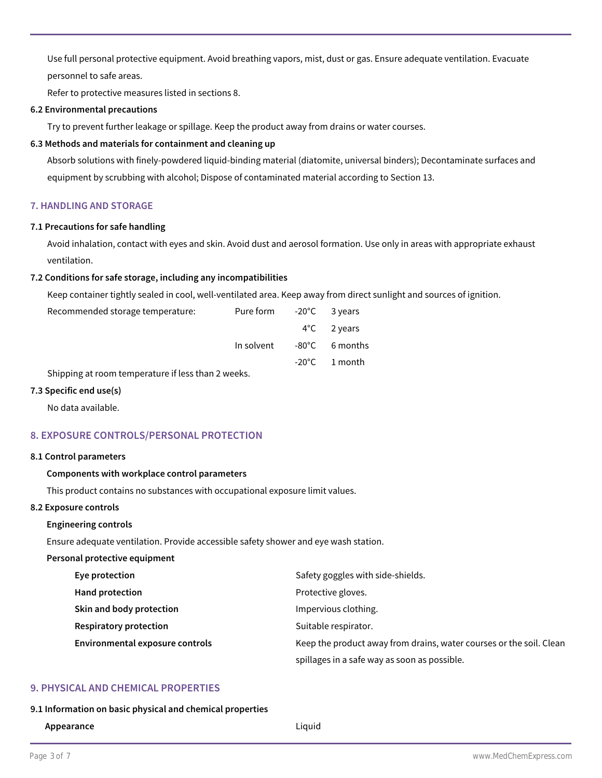Use full personal protective equipment. Avoid breathing vapors, mist, dust or gas. Ensure adequate ventilation. Evacuate personnel to safe areas.

Refer to protective measures listed in sections 8.

#### **6.2 Environmental precautions**

Try to prevent further leakage or spillage. Keep the product away from drains or water courses.

#### **6.3 Methods and materials for containment and cleaning up**

Absorb solutions with finely-powdered liquid-binding material (diatomite, universal binders); Decontaminate surfaces and equipment by scrubbing with alcohol; Dispose of contaminated material according to Section 13.

# **7. HANDLING AND STORAGE**

#### **7.1 Precautions for safe handling**

Avoid inhalation, contact with eyes and skin. Avoid dust and aerosol formation. Use only in areas with appropriate exhaust ventilation.

#### **7.2 Conditions for safe storage, including any incompatibilities**

Keep container tightly sealed in cool, well-ventilated area. Keep away from direct sunlight and sources of ignition.

| Recommended storage temperature:                  | Pure form $-20^{\circ}$ C 3 years   |                         |
|---------------------------------------------------|-------------------------------------|-------------------------|
|                                                   |                                     | $4^{\circ}$ C 2 years   |
|                                                   | In solvent $-80^{\circ}$ C 6 months |                         |
|                                                   |                                     | $-20^{\circ}$ C 1 month |
| Shinning at room temperature if less than 2 weeks |                                     |                         |

Shipping at room temperature if less than 2 weeks.

#### **7.3 Specific end use(s)**

No data available.

# **8. EXPOSURE CONTROLS/PERSONAL PROTECTION**

#### **8.1 Control parameters**

#### **Components with workplace control parameters**

This product contains no substances with occupational exposure limit values.

#### **8.2 Exposure controls**

#### **Engineering controls**

Ensure adequate ventilation. Provide accessible safety shower and eye wash station.

#### **Personal protective equipment**

| Eye protection                         | Safety goggles with side-shields.                                   |
|----------------------------------------|---------------------------------------------------------------------|
| Hand protection                        | Protective gloves.                                                  |
| Skin and body protection               | Impervious clothing.                                                |
| <b>Respiratory protection</b>          | Suitable respirator.                                                |
| <b>Environmental exposure controls</b> | Keep the product away from drains, water courses or the soil. Clean |
|                                        | spillages in a safe way as soon as possible.                        |

# **9. PHYSICAL AND CHEMICAL PROPERTIES**

# **9.1 Information on basic physical and chemical properties**

**Appearance** Liquid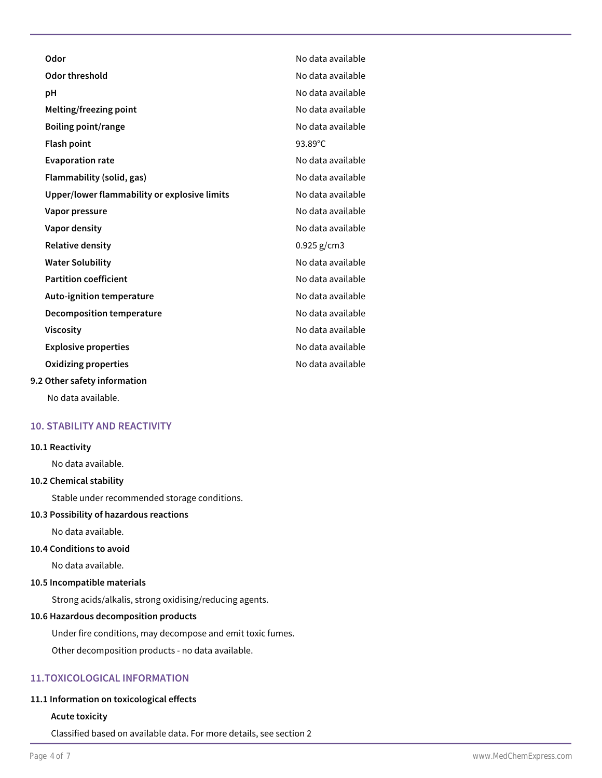| No data available |
|-------------------|
| No data available |
| No data available |
| No data available |
| No data available |
| 93.89°C           |
| No data available |
| No data available |
| No data available |
| No data available |
| No data available |
| $0.925$ g/cm3     |
| No data available |
| No data available |
| No data available |
| No data available |
| No data available |
| No data available |
| No data available |
|                   |
|                   |

No data available.

# **10. STABILITY AND REACTIVITY**

#### **10.1 Reactivity**

No data available.

# **10.2 Chemical stability**

Stable under recommended storage conditions.

#### **10.3 Possibility of hazardous reactions**

No data available.

# **10.4 Conditions to avoid**

No data available.

# **10.5 Incompatible materials**

Strong acids/alkalis, strong oxidising/reducing agents.

# **10.6 Hazardous decomposition products**

Under fire conditions, may decompose and emit toxic fumes. Other decomposition products - no data available.

# **11.TOXICOLOGICAL INFORMATION**

#### **11.1 Information on toxicological effects**

#### **Acute toxicity**

Classified based on available data. For more details, see section 2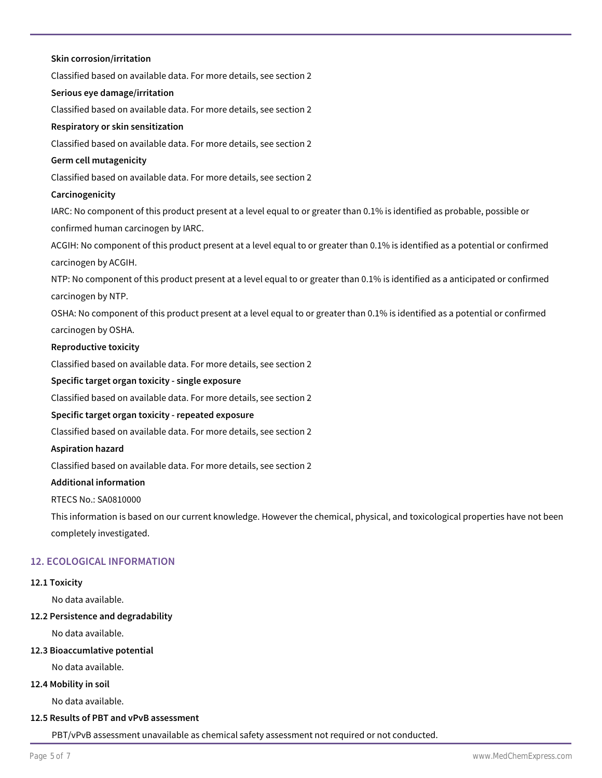# **Skin corrosion/irritation** Classified based on available data. For more details, see section 2 **Serious eye damage/irritation** Classified based on available data. For more details, see section 2 **Respiratory or skin sensitization** Classified based on available data. For more details, see section 2 **Germ cell mutagenicity** Classified based on available data. For more details, see section 2 **Carcinogenicity** IARC: No component of this product present at a level equal to or greater than 0.1% is identified as probable, possible or confirmed human carcinogen by IARC. ACGIH: No component of this product present at a level equal to or greater than 0.1% is identified as a potential or confirmed carcinogen by ACGIH. NTP: No component of this product present at a level equal to or greater than 0.1% is identified as a anticipated or confirmed carcinogen by NTP. OSHA: No component of this product present at a level equal to or greater than 0.1% is identified as a potential or confirmed carcinogen by OSHA. **Reproductive toxicity** Classified based on available data. For more details, see section 2 **Specific target organ toxicity - single exposure** Classified based on available data. For more details, see section 2 **Specific target organ toxicity - repeated exposure** Classified based on available data. For more details, see section 2 **Aspiration hazard** Classified based on available data. For more details, see section 2 **Additional information** RTECS No.: SA0810000 This information is based on our current knowledge. However the chemical, physical, and toxicological properties have not been completely investigated.

# **12. ECOLOGICAL INFORMATION**

#### **12.1 Toxicity**

No data available.

#### **12.2 Persistence and degradability**

No data available.

#### **12.3 Bioaccumlative potential**

No data available.

#### **12.4 Mobility in soil**

No data available.

### **12.5 Results of PBT and vPvB assessment**

PBT/vPvB assessment unavailable as chemical safety assessment not required or not conducted.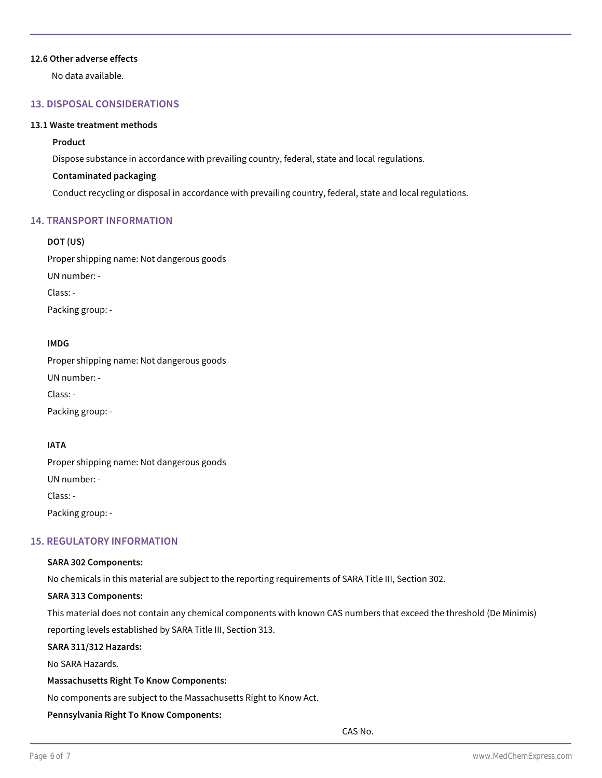#### **12.6 Other adverse effects**

No data available.

# **13. DISPOSAL CONSIDERATIONS**

#### **13.1 Waste treatment methods**

## **Product**

Dispose substance in accordance with prevailing country, federal, state and local regulations.

#### **Contaminated packaging**

Conduct recycling or disposal in accordance with prevailing country, federal, state and local regulations.

## **14. TRANSPORT INFORMATION**

# **DOT (US)**

Proper shipping name: Not dangerous goods UN number: - Class: - Packing group: -

#### **IMDG**

Proper shipping name: Not dangerous goods UN number: - Class: - Packing group: -

# **IATA**

Proper shipping name: Not dangerous goods UN number: - Class: - Packing group: -

#### **15. REGULATORY INFORMATION**

#### **SARA 302 Components:**

No chemicals in this material are subject to the reporting requirements of SARA Title III, Section 302.

#### **SARA 313 Components:**

This material does not contain any chemical components with known CAS numbers that exceed the threshold (De Minimis) reporting levels established by SARA Title III, Section 313.

#### **SARA 311/312 Hazards:**

No SARA Hazards.

#### **Massachusetts Right To Know Components:**

No components are subject to the Massachusetts Right to Know Act.

#### **Pennsylvania Right To Know Components:**

CAS No.